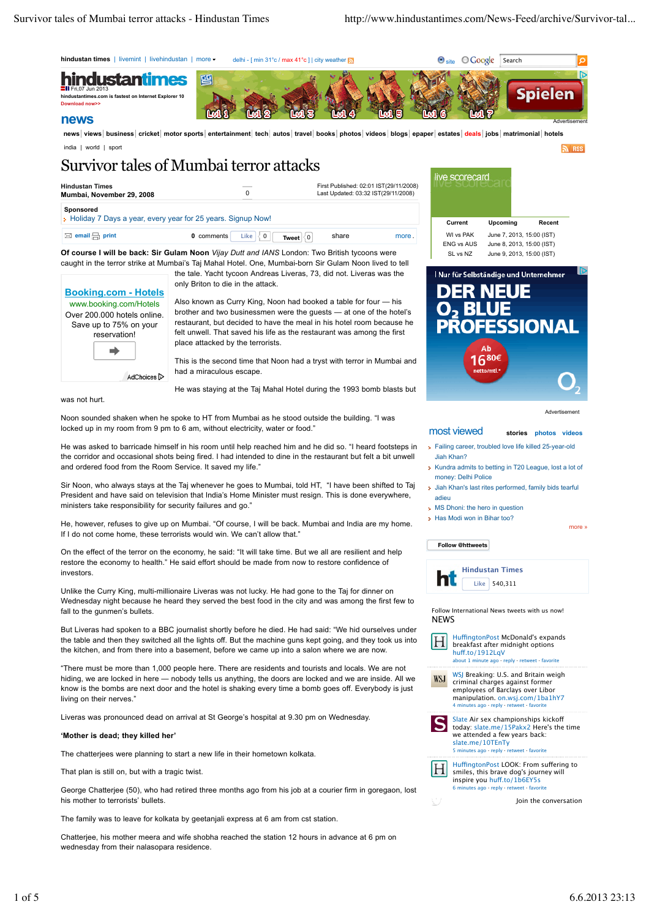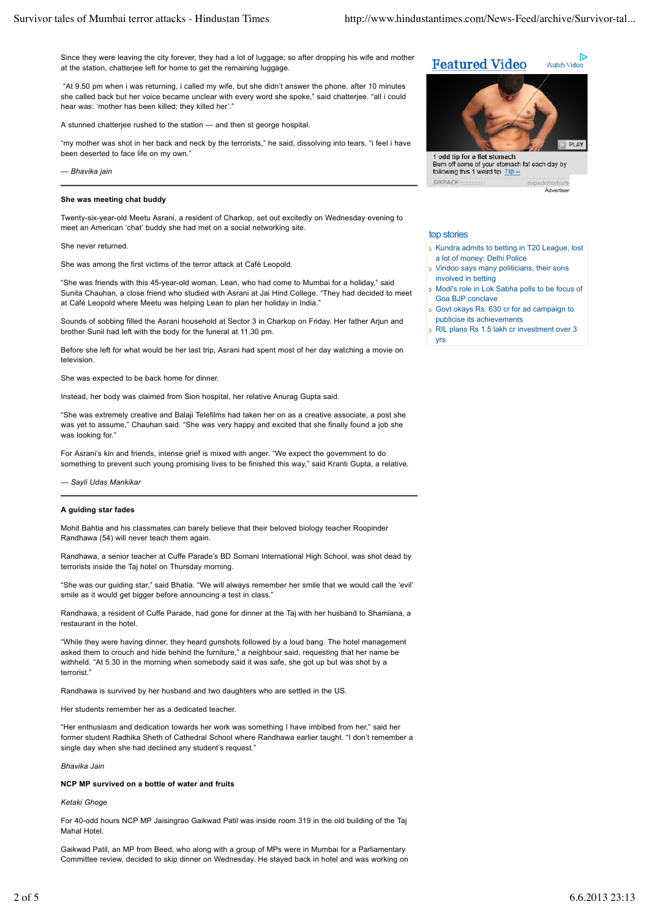Since they were leaving the city forever, they had a lot of luggage; so after dropping his wife and mother at the station, chatterjee left for home to get the remaining luggage.

 "At 9.50 pm when i was returning, i called my wife, but she didn't answer the phone. after 10 minutes she called back but her voice became unclear with every word she spoke," said chatterjee. "all i could hear was: 'mother has been killed; they killed her'."

A stunned chatterjee rushed to the station — and then st george hospital.

"my mother was shot in her back and neck by the terrorists," he said, dissolving into tears. "i feel i have been deserted to face life on my own."

*— Bhavika jain*

# **She was meeting chat buddy**

Twenty-six-year-old Meetu Asrani, a resident of Charkop, set out excitedly on Wednesday evening to meet an American 'chat' buddy she had met on a social networking site.

#### She never returned.

She was among the first victims of the terror attack at Café Leopold.

"She was friends with this 45-year-old woman, Lean, who had come to Mumbai for a holiday," said Sunita Chauhan, a close friend who studied with Asrani at Jai Hind College. "They had decided to meet at Café Leopold where Meetu was helping Lean to plan her holiday in India."

Sounds of sobbing filled the Asrani household at Sector 3 in Charkop on Friday. Her father Arjun and brother Sunil had left with the body for the funeral at 11.30 pm.

Before she left for what would be her last trip, Asrani had spent most of her day watching a movie on television.

She was expected to be back home for dinner.

Instead, her body was claimed from Sion hospital, her relative Anurag Gupta said.

"She was extremely creative and Balaji Telefilms had taken her on as a creative associate, a post she was yet to assume," Chauhan said. "She was very happy and excited that she finally found a job she was looking for."

For Asrani's kin and friends, intense grief is mixed with anger. "We expect the government to do something to prevent such young promising lives to be finished this way," said Kranti Gupta, a relative.

*— Sayli Udas Mankikar*

#### **A guiding star fades**

Mohit Bahtia and his classmates can barely believe that their beloved biology teacher Roopinder Randhawa (54) will never teach them again.

Randhawa, a senior teacher at Cuffe Parade's BD Somani International High School, was shot dead by terrorists inside the Taj hotel on Thursday morning.

"She was our guiding star," said Bhatia. "We will always remember her smile that we would call the 'evil' smile as it would get bigger before announcing a test in class."

Randhawa, a resident of Cuffe Parade, had gone for dinner at the Taj with her husband to Shamiana, a restaurant in the hotel.

"While they were having dinner, they heard gunshots followed by a loud bang. The hotel management asked them to crouch and hide behind the furniture," a neighbour said, requesting that her name be withheld. "At 5.30 in the morning when somebody said it was safe, she got up but was shot by a terrorist.

Randhawa is survived by her husband and two daughters who are settled in the US.

Her students remember her as a dedicated teacher.

"Her enthusiasm and dedication towards her work was something I have imbibed from her," said her former student Radhika Sheth of Cathedral School where Randhawa earlier taught. "I don't remember a single day when she had declined any student's request.'

*Bhavika Jain*

# **NCP MP survived on a bottle of water and fruits**

*Ketaki Ghoge*

For 40-odd hours NCP MP Jaisingrao Gaikwad Patil was inside room 319 in the old building of the Taj Mahal Hotel.

Gaikwad Patil, an MP from Beed, who along with a group of MPs were in Mumbai for a Parliamentary Committee review, decided to skip dinner on Wednesday. He stayed back in hotel and was working on



Burn off some of your stomach fat each day by following this 1 weird tip Tip » SIVPACK

Advertiser

**D** 

### top stories

- Kundra admits to betting in T20 League, lost a lot of money: Delhi Police
- Vindoo says many politicians, their sons involved in betting
- Modi's role in Lok Sabha polls to be focus of Goa BJP conclave
- Govt okays Rs. 630 cr for ad campaign to publicise its achievements
- RIL plans Rs 1.5 lakh cr investment over 3 yrs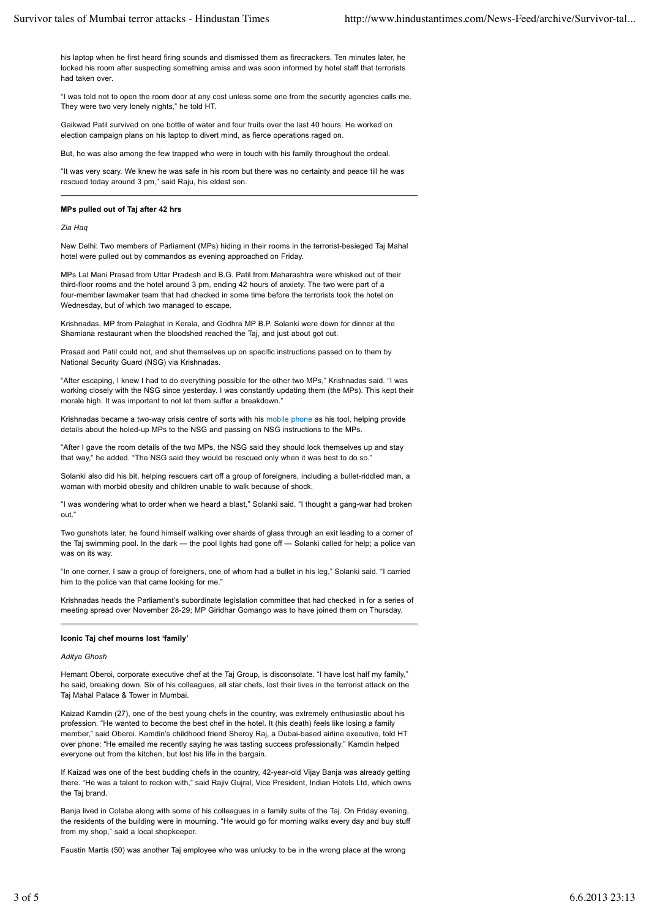his laptop when he first heard firing sounds and dismissed them as firecrackers. Ten minutes later, he locked his room after suspecting something amiss and was soon informed by hotel staff that terrorists had taken over.

"I was told not to open the room door at any cost unless some one from the security agencies calls me. They were two very lonely nights," he told HT.

Gaikwad Patil survived on one bottle of water and four fruits over the last 40 hours. He worked on election campaign plans on his laptop to divert mind, as fierce operations raged on.

But, he was also among the few trapped who were in touch with his family throughout the ordeal.

"It was very scary. We knew he was safe in his room but there was no certainty and peace till he was rescued today around 3 pm," said Raju, his eldest son.

#### **MPs pulled out of Taj after 42 hrs**

*Zia Haq*

New Delhi: Two members of Parliament (MPs) hiding in their rooms in the terrorist-besieged Taj Mahal hotel were pulled out by commandos as evening approached on Friday.

MPs Lal Mani Prasad from Uttar Pradesh and B.G. Patil from Maharashtra were whisked out of their third-floor rooms and the hotel around 3 pm, ending 42 hours of anxiety. The two were part of a four-member lawmaker team that had checked in some time before the terrorists took the hotel on Wednesday, but of which two managed to escape.

Krishnadas, MP from Palaghat in Kerala, and Godhra MP B.P. Solanki were down for dinner at the Shamiana restaurant when the bloodshed reached the Taj, and just about got out.

Prasad and Patil could not, and shut themselves up on specific instructions passed on to them by National Security Guard (NSG) via Krishnadas.

"After escaping, I knew I had to do everything possible for the other two MPs," Krishnadas said. "I was working closely with the NSG since yesterday. I was constantly updating them (the MPs). This kept their morale high. It was important to not let them suffer a breakdown."

Krishnadas became a two-way crisis centre of sorts with his mobile phone as his tool, helping provide details about the holed-up MPs to the NSG and passing on NSG instructions to the MPs.

"After I gave the room details of the two MPs, the NSG said they should lock themselves up and stay that way," he added. "The NSG said they would be rescued only when it was best to do so."

Solanki also did his bit, helping rescuers cart off a group of foreigners, including a bullet-riddled man, a woman with morbid obesity and children unable to walk because of shock.

"I was wondering what to order when we heard a blast," Solanki said. "I thought a gang-war had broken out."

Two gunshots later, he found himself walking over shards of glass through an exit leading to a corner of the Taj swimming pool. In the dark — the pool lights had gone off — Solanki called for help; a police van was on its way.

"In one corner, I saw a group of foreigners, one of whom had a bullet in his leg," Solanki said. "I carried him to the police van that came looking for me."

Krishnadas heads the Parliament's subordinate legislation committee that had checked in for a series of meeting spread over November 28-29; MP Giridhar Gomango was to have joined them on Thursday.

#### **Iconic Taj chef mourns lost 'family'**

#### *Aditya Ghosh*

Hemant Oberoi, corporate executive chef at the Taj Group, is disconsolate. "I have lost half my family," he said, breaking down. Six of his colleagues, all star chefs, lost their lives in the terrorist attack on the Taj Mahal Palace & Tower in Mumbai.

Kaizad Kamdin (27), one of the best young chefs in the country, was extremely enthusiastic about his profession. "He wanted to become the best chef in the hotel. It (his death) feels like losing a family member," said Oberoi. Kamdin's childhood friend Sheroy Raj, a Dubai-based airline executive, told HT over phone: "He emailed me recently saying he was tasting success professionally." Kamdin helped everyone out from the kitchen, but lost his life in the bargain.

If Kaizad was one of the best budding chefs in the country, 42-year-old Vijay Banja was already getting there. "He was a talent to reckon with," said Rajiv Gujral, Vice President, Indian Hotels Ltd, which owns the Taj brand.

Banja lived in Colaba along with some of his colleagues in a family suite of the Taj. On Friday evening, the residents of the building were in mourning. "He would go for morning walks every day and buy stuff from my shop," said a local shopkeeper.

Faustin Martis (50) was another Taj employee who was unlucky to be in the wrong place at the wrong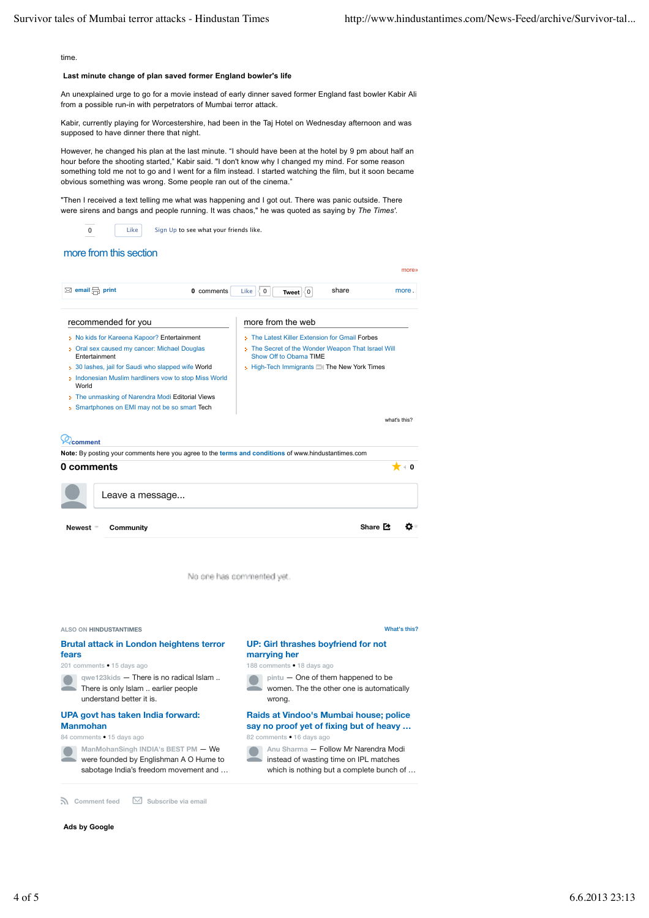time

# **Last minute change of plan saved former England bowler's life**

An unexplained urge to go for a movie instead of early dinner saved former England fast bowler Kabir Ali from a possible run-in with perpetrators of Mumbai terror attack.

Kabir, currently playing for Worcestershire, had been in the Taj Hotel on Wednesday afternoon and was supposed to have dinner there that night.

However, he changed his plan at the last minute. "I should have been at the hotel by 9 pm about half an hour before the shooting started," Kabir said. "I don't know why I changed my mind. For some reason something told me not to go and I went for a film instead. I started watching the film, but it soon became obvious something was wrong. Some people ran out of the cinema."

"Then I received a text telling me what was happening and I got out. There was panic outside. There were sirens and bangs and people running. It was chaos," he was quoted as saying by *The Times'*.

Like Sign Up to see what your friends like.

# more from this section

0

| $\boxtimes$ email $\boxminus$ print<br>0 comments                                                                                                                                                                                                                                                                                                      | share<br>Like<br>∛0<br>more.<br>Tweet $ \langle 0 $                                                                                                                                              |
|--------------------------------------------------------------------------------------------------------------------------------------------------------------------------------------------------------------------------------------------------------------------------------------------------------------------------------------------------------|--------------------------------------------------------------------------------------------------------------------------------------------------------------------------------------------------|
| recommended for you<br>> No kids for Kareena Kapoor? Entertainment<br>Oral sex caused my cancer: Michael Douglas<br>Entertainment<br>30 lashes, jail for Saudi who slapped wife World<br>Indonesian Muslim hardliners vow to stop Miss World<br>World<br>The unmasking of Narendra Modi Editorial Views<br>Smartphones on EMI may not be so smart Tech | more from the web<br>> The Latest Killer Extension for Gmail Forbes<br>The Secret of the Wonder Weapon That Israel Will<br>Show Off to Obama TIME<br>High-Tech Immigrants Ell The New York Times |
|                                                                                                                                                                                                                                                                                                                                                        | what's this?                                                                                                                                                                                     |
| comment                                                                                                                                                                                                                                                                                                                                                |                                                                                                                                                                                                  |
| Note: By posting your comments here you agree to the terms and conditions of www.hindustantimes.com<br>0 comments                                                                                                                                                                                                                                      | ∢ Ω                                                                                                                                                                                              |
| Leave a message                                                                                                                                                                                                                                                                                                                                        |                                                                                                                                                                                                  |
| Newest =<br>Community                                                                                                                                                                                                                                                                                                                                  | Share <sup>7</sup>                                                                                                                                                                               |

No one has commented yet



**n** Comment feed  $\boxtimes$  Subscribe via email

### **Ads by Google**